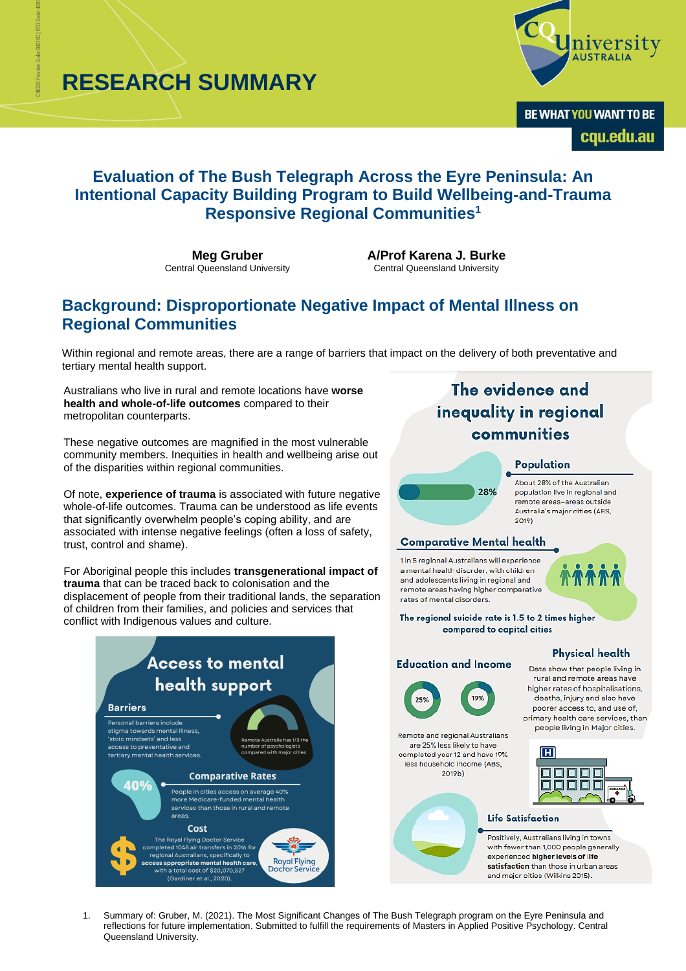**RESEARCH SUMMARY**



BE WHAT YOU WANT TO BE cqu.edu.au

# **Evaluation of The Bush Telegraph Across the Eyre Peninsula: An Intentional Capacity Building Program to Build Wellbeing-and-Trauma Responsive Regional Communities<sup>1</sup>**

**Meg Gruber** Central Queensland University **A/Prof Karena J. Burke** Central Queensland University

## **Background: Disproportionate Negative Impact of Mental Illness on Regional Communities**

Within regional and remote areas, there are a range of barriers that impact on the delivery of both preventative and tertiary mental health support.

Australians who live in rural and remote locations have **worse health and whole-of-life outcomes** compared to their metropolitan counterparts.

These negative outcomes are magnified in the most vulnerable community members. Inequities in health and wellbeing arise out of the disparities within regional communities.

Of note, **experience of trauma** is associated with future negative whole-of-life outcomes. Trauma can be understood as life events that significantly overwhelm people's coping ability, and are associated with intense negative feelings (often a loss of safety, trust, control and shame).

For Aboriginal people this includes **transgenerational impact of trauma** that can be traced back to colonisation and the displacement of people from their traditional lands, the separation of children from their families, and policies and services that conflict with Indigenous values and culture.



# The evidence and inequality in regional communities

## Population

About 28% of the Australian population live in regional and remote areas-areas outside Australia's major cities (ABS, 2019)

## **Comparative Mental health**

28%

1 in 5 regional Australians will experience a mental health disorder, with children and adolescents living in regional and remote areas having higher comparative rates of mental disorders.



The regional suicide rate is 1.5 to 2 times higher compared to capital cities

#### **Physical health**



**Education and Income** 

Remote and regional Australians are 25% less likely to have completed year 12 and have 19% less household income (ABS, 2019b)

Data show that people living in rural and remote areas have higher rates of hospitalisations,

deaths, injury and also have poorer access to, and use of, primary health care services, than people living in Major cities.



#### **Life Satisfaction**

Positively, Australians living in towns with fewer than 1,000 people generally experienced higher levels of life satisfaction than those in urban areas and major cities (Wilkins 2015).

1. Summary of: Gruber, M. (2021). The Most Significant Changes of The Bush Telegraph program on the Eyre Peninsula and reflections for future implementation. Submitted to fulfill the requirements of Masters in Applied Positive Psychology. Central Queensland University.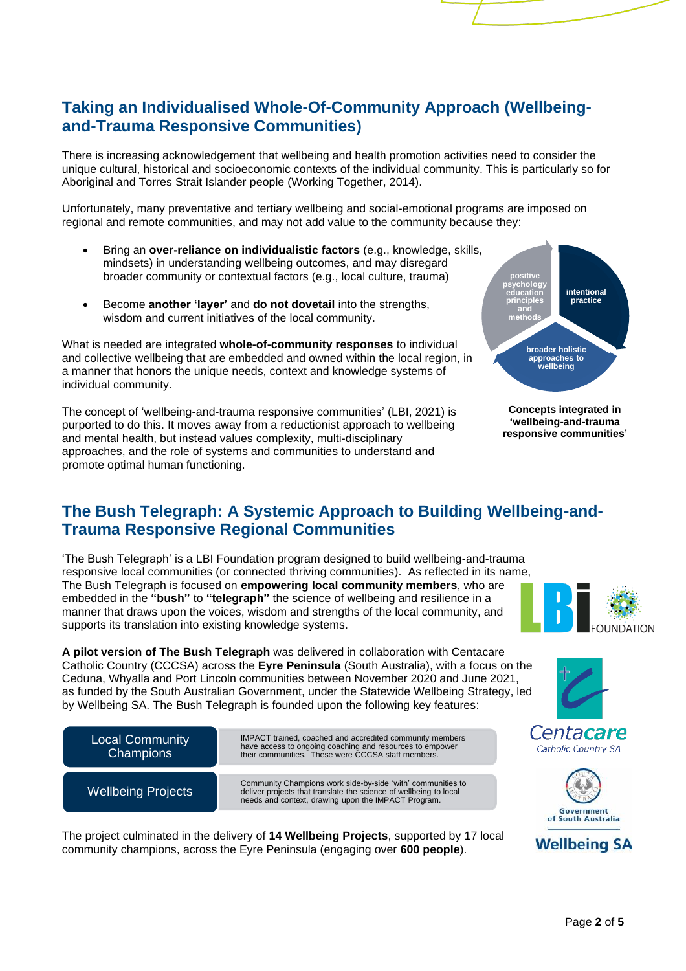# **Taking an Individualised Whole-Of-Community Approach (Wellbeingand-Trauma Responsive Communities)**

There is increasing acknowledgement that wellbeing and health promotion activities need to consider the unique cultural, historical and socioeconomic contexts of the individual community. This is particularly so for Aboriginal and Torres Strait Islander people (Working Together, 2014).

Unfortunately, many preventative and tertiary wellbeing and social-emotional programs are imposed on regional and remote communities, and may not add value to the community because they:

- Bring an **over-reliance on individualistic factors** (e.g., knowledge, skills, mindsets) in understanding wellbeing outcomes, and may disregard broader community or contextual factors (e.g., local culture, trauma)
- Become **another 'layer'** and **do not dovetail** into the strengths, wisdom and current initiatives of the local community.

What is needed are integrated **whole-of-community responses** to individual and collective wellbeing that are embedded and owned within the local region, in a manner that honors the unique needs, context and knowledge systems of individual community.

The concept of 'wellbeing-and-trauma responsive communities' (LBI, 2021) is purported to do this. It moves away from a reductionist approach to wellbeing and mental health, but instead values complexity, multi-disciplinary approaches, and the role of systems and communities to understand and promote optimal human functioning.



**Concepts integrated in 'wellbeing-and-trauma responsive communities'**

# **The Bush Telegraph: A Systemic Approach to Building Wellbeing-and-Trauma Responsive Regional Communities**

'The Bush Telegraph' is a LBI Foundation program designed to build wellbeing-and-trauma responsive local communities (or connected thriving communities). As reflected in its name, The Bush Telegraph is focused on **empowering local community members**, who are embedded in the **"bush"** to **"telegraph"** the science of wellbeing and resilience in a manner that draws upon the voices, wisdom and strengths of the local community, and supports its translation into existing knowledge systems.

**A pilot version of The Bush Telegraph** was delivered in collaboration with Centacare Catholic Country (CCCSA) across the **Eyre Peninsula** (South Australia), with a focus on the Ceduna, Whyalla and Port Lincoln communities between November 2020 and June 2021, as funded by the South Australian Government, under the Statewide Wellbeing Strategy, led by Wellbeing SA. The Bush Telegraph is founded upon the following key features:



The project culminated in the delivery of **14 Wellbeing Projects**, supported by 17 local community champions, across the Eyre Peninsula (engaging over **600 people**).











Page **2** of **5**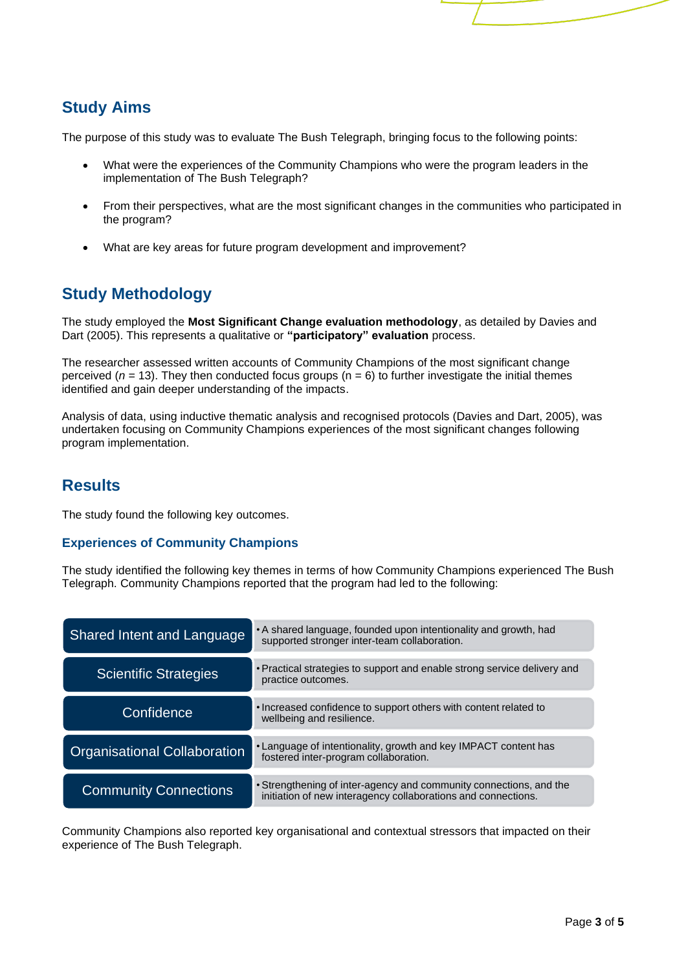# **Study Aims**

The purpose of this study was to evaluate The Bush Telegraph, bringing focus to the following points:

- What were the experiences of the Community Champions who were the program leaders in the implementation of The Bush Telegraph?
- From their perspectives, what are the most significant changes in the communities who participated in the program?
- What are key areas for future program development and improvement?

# **Study Methodology**

The study employed the **Most Significant Change evaluation methodology**, as detailed by Davies and Dart (2005). This represents a qualitative or **"participatory" evaluation** process.

The researcher assessed written accounts of Community Champions of the most significant change perceived ( $n = 13$ ). They then conducted focus groups ( $n = 6$ ) to further investigate the initial themes identified and gain deeper understanding of the impacts.

Analysis of data, using inductive thematic analysis and recognised protocols (Davies and Dart, 2005), was undertaken focusing on Community Champions experiences of the most significant changes following program implementation.

# **Results**

The study found the following key outcomes.

## **Experiences of Community Champions**

The study identified the following key themes in terms of how Community Champions experienced The Bush Telegraph. Community Champions reported that the program had led to the following:

| <b>Shared Intent and Language</b>   | • A shared language, founded upon intentionality and growth, had<br>supported stronger inter-team collaboration.                    |
|-------------------------------------|-------------------------------------------------------------------------------------------------------------------------------------|
| <b>Scientific Strategies</b>        | • Practical strategies to support and enable strong service delivery and<br>practice outcomes.                                      |
| Confidence                          | . Increased confidence to support others with content related to<br>wellbeing and resilience.                                       |
| <b>Organisational Collaboration</b> | • Language of intentionality, growth and key IMPACT content has<br>fostered inter-program collaboration.                            |
| <b>Community Connections</b>        | • Strengthening of inter-agency and community connections, and the<br>initiation of new interagency collaborations and connections. |

Community Champions also reported key organisational and contextual stressors that impacted on their experience of The Bush Telegraph.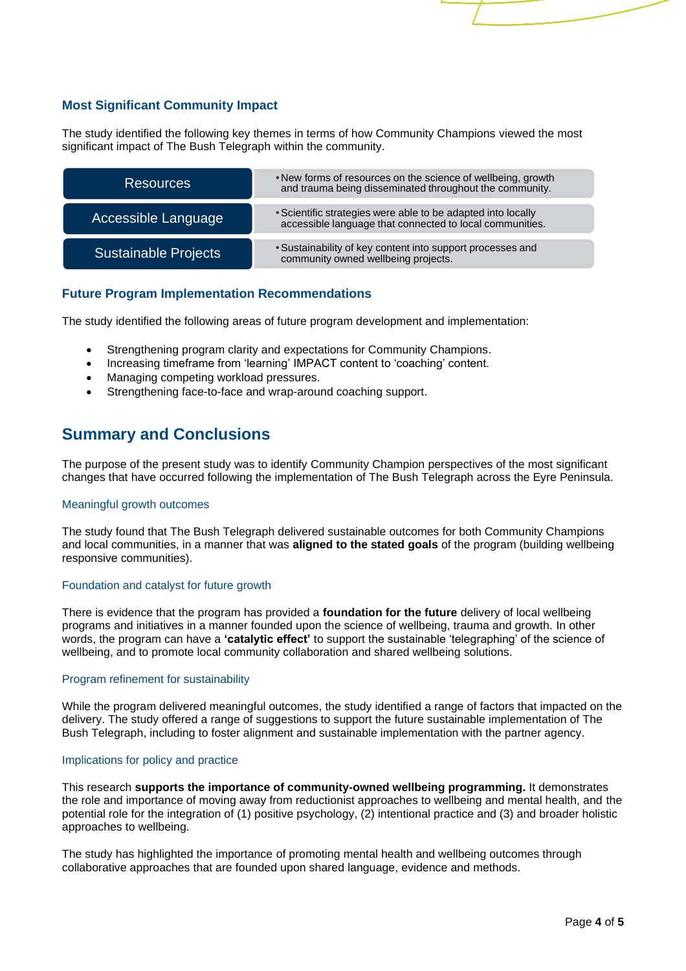## **Most Significant Community Impact**

The study identified the following key themes in terms of how Community Champions viewed the most significant impact of The Bush Telegraph within the community.

| <b>Resources</b>            | . New forms of resources on the science of wellbeing, growth<br>and trauma being disseminated throughout the community.  |
|-----------------------------|--------------------------------------------------------------------------------------------------------------------------|
| Accessible Language         | • Scientific strategies were able to be adapted into locally<br>accessible language that connected to local communities. |
| <b>Sustainable Projects</b> | • Sustainability of key content into support processes and<br>community owned wellbeing projects.                        |

## **Future Program Implementation Recommendations**

The study identified the following areas of future program development and implementation:

- Strengthening program clarity and expectations for Community Champions.
- Increasing timeframe from 'learning' IMPACT content to 'coaching' content.
- Managing competing workload pressures.
- Strengthening face-to-face and wrap-around coaching support.

## **Summary and Conclusions**

The purpose of the present study was to identify Community Champion perspectives of the most significant changes that have occurred following the implementation of The Bush Telegraph across the Eyre Peninsula.

## Meaningful growth outcomes

The study found that The Bush Telegraph delivered sustainable outcomes for both Community Champions and local communities, in a manner that was **aligned to the stated goals** of the program (building wellbeing responsive communities).

## Foundation and catalyst for future growth

There is evidence that the program has provided a **foundation for the future** delivery of local wellbeing programs and initiatives in a manner founded upon the science of wellbeing, trauma and growth. In other words, the program can have a **'catalytic effect'** to support the sustainable 'telegraphing' of the science of wellbeing, and to promote local community collaboration and shared wellbeing solutions.

## Program refinement for sustainability

While the program delivered meaningful outcomes, the study identified a range of factors that impacted on the delivery. The study offered a range of suggestions to support the future sustainable implementation of The Bush Telegraph, including to foster alignment and sustainable implementation with the partner agency.

## Implications for policy and practice

This research **supports the importance of community-owned wellbeing programming.** It demonstrates the role and importance of moving away from reductionist approaches to wellbeing and mental health, and the potential role for the integration of (1) positive psychology, (2) intentional practice and (3) and broader holistic approaches to wellbeing.

The study has highlighted the importance of promoting mental health and wellbeing outcomes through collaborative approaches that are founded upon shared language, evidence and methods.